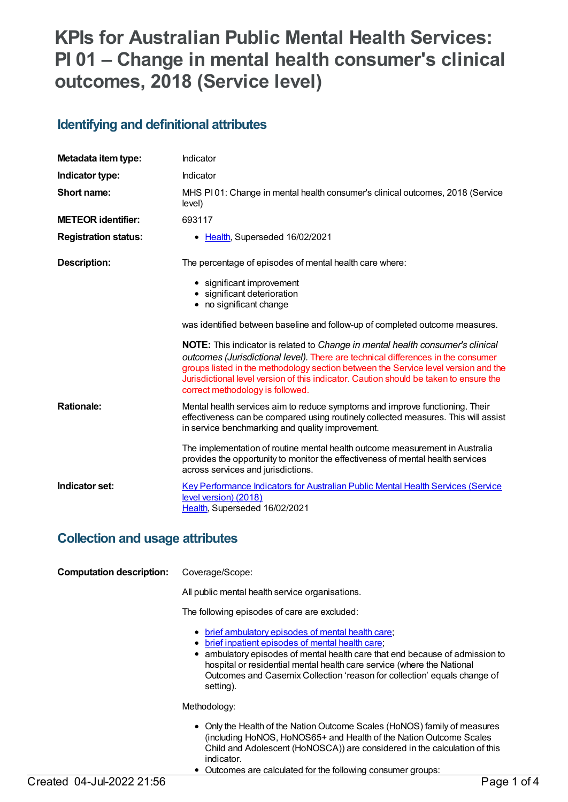# **KPIs for Australian Public Mental Health Services: PI 01 – Change in mental health consumer's clinical outcomes, 2018 (Service level)**

### **Identifying and definitional attributes**

| Metadata item type:         | Indicator                                                                                                                                                                                                                                                                                                                                                                             |
|-----------------------------|---------------------------------------------------------------------------------------------------------------------------------------------------------------------------------------------------------------------------------------------------------------------------------------------------------------------------------------------------------------------------------------|
| Indicator type:             | Indicator                                                                                                                                                                                                                                                                                                                                                                             |
| Short name:                 | MHS PI01: Change in mental health consumer's clinical outcomes, 2018 (Service<br>level)                                                                                                                                                                                                                                                                                               |
| <b>METEOR identifier:</b>   | 693117                                                                                                                                                                                                                                                                                                                                                                                |
| <b>Registration status:</b> | Health, Superseded 16/02/2021                                                                                                                                                                                                                                                                                                                                                         |
| <b>Description:</b>         | The percentage of episodes of mental health care where:                                                                                                                                                                                                                                                                                                                               |
|                             | • significant improvement<br>• significant deterioration<br>• no significant change                                                                                                                                                                                                                                                                                                   |
|                             | was identified between baseline and follow-up of completed outcome measures.                                                                                                                                                                                                                                                                                                          |
|                             | NOTE: This indicator is related to Change in mental health consumer's clinical<br>outcomes (Jurisdictional level). There are technical differences in the consumer<br>groups listed in the methodology section between the Service level version and the<br>Jurisdictional level version of this indicator. Caution should be taken to ensure the<br>correct methodology is followed. |
| <b>Rationale:</b>           | Mental health services aim to reduce symptoms and improve functioning. Their<br>effectiveness can be compared using routinely collected measures. This will assist<br>in service benchmarking and quality improvement.                                                                                                                                                                |
|                             | The implementation of routine mental health outcome measurement in Australia<br>provides the opportunity to monitor the effectiveness of mental health services<br>across services and jurisdictions.                                                                                                                                                                                 |
| Indicator set:              | <b>Key Performance Indicators for Australian Public Mental Health Services (Service</b><br>level version) (2018)<br>Health, Superseded 16/02/2021                                                                                                                                                                                                                                     |

### **Collection and usage attributes**

| <b>Computation description:</b> | Coverage/Scope:                                                                                                                                                                                                                                                                                                                                                       |
|---------------------------------|-----------------------------------------------------------------------------------------------------------------------------------------------------------------------------------------------------------------------------------------------------------------------------------------------------------------------------------------------------------------------|
|                                 | All public mental health service organisations.                                                                                                                                                                                                                                                                                                                       |
|                                 | The following episodes of care are excluded:                                                                                                                                                                                                                                                                                                                          |
|                                 | • brief ambulatory episodes of mental health care;<br><u>brief inpatient episodes of mental health care</u> ;<br>٠<br>• ambulatory episodes of mental health care that end because of admission to<br>hospital or residential mental health care service (where the National<br>Outcomes and Casemix Collection 'reason for collection' equals change of<br>setting). |
|                                 | Methodology:                                                                                                                                                                                                                                                                                                                                                          |
|                                 | • Only the Health of the Nation Outcome Scales (HoNOS) family of measures<br>(including HoNOS, HoNOS65+ and Health of the Nation Outcome Scales<br>Child and Adolescent (HoNOSCA)) are considered in the calculation of this<br>indicator.<br>Outcomes are calculated for the following consumer groups:                                                              |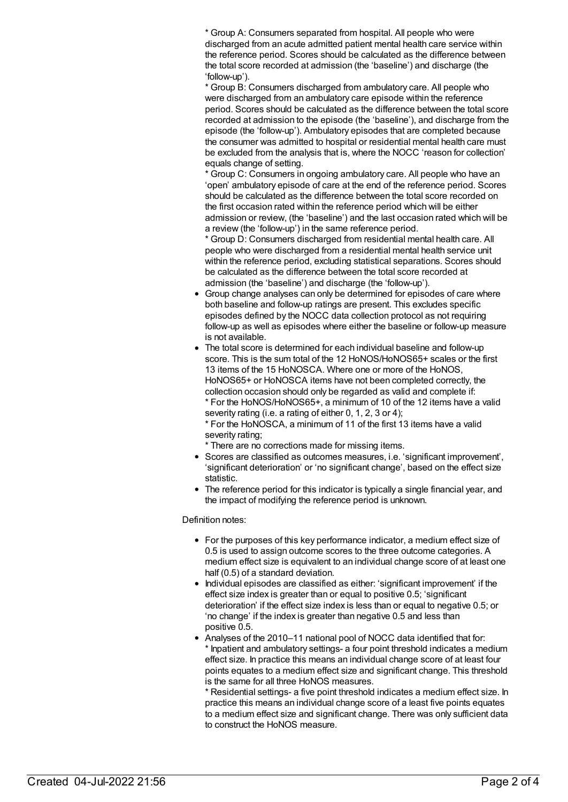\* Group A: Consumers separated from hospital. All people who were discharged from an acute admitted patient mental health care service within the reference period. Scores should be calculated as the difference between the total score recorded at admission (the 'baseline') and discharge (the 'follow-up').

\* Group B: Consumers discharged from ambulatory care. All people who were discharged from an ambulatory care episode within the reference period. Scores should be calculated as the difference between the total score recorded at admission to the episode (the 'baseline'), and discharge from the episode (the 'follow-up'). Ambulatory episodes that are completed because the consumer was admitted to hospital or residential mental health care must be excluded from the analysis that is, where the NOCC 'reason for collection' equals change of setting.

\* Group C: Consumers in ongoing ambulatory care. All people who have an 'open' ambulatory episode of care at the end of the reference period. Scores should be calculated as the difference between the total score recorded on the first occasion rated within the reference period which will be either admission or review, (the 'baseline') and the last occasion rated which will be a review (the 'follow-up') in the same reference period.

\* Group D: Consumers discharged from residential mental health care. All people who were discharged from a residential mental health service unit within the reference period, excluding statistical separations. Scores should be calculated as the difference between the total score recorded at admission (the 'baseline') and discharge (the 'follow-up').

- Group change analyses can only be determined for episodes of care where both baseline and follow-up ratings are present. This excludes specific episodes defined by the NOCC data collection protocol as not requiring follow-up as well as episodes where either the baseline or follow-up measure is not available.
- The total score is determined for each individual baseline and follow-up score. This is the sum total of the 12 HoNOS/HoNOS65+ scales or the first 13 items of the 15 HoNOSCA. Where one or more of the HoNOS, HoNOS65+ or HoNOSCA items have not been completed correctly, the collection occasion should only be regarded as valid and complete if: \* For the HoNOS/HoNOS65+, a minimum of 10 of the 12 items have a valid severity rating (i.e. a rating of either 0, 1, 2, 3 or 4);

\* For the HoNOSCA, a minimum of 11 of the first 13 items have a valid severity rating;

\* There are no corrections made for missing items.

- Scores are classified as outcomes measures, i.e. 'significant improvement', 'significant deterioration' or 'no significant change', based on the effect size statistic.
- The reference period for this indicator is typically a single financial year, and the impact of modifying the reference period is unknown.

#### Definition notes:

- For the purposes of this key performance indicator, a medium effect size of 0.5 is used to assign outcome scores to the three outcome categories. A medium effect size is equivalent to an individual change score of at least one half (0.5) of a standard deviation.
- Individual episodes are classified as either: 'significant improvement' if the effect size index is greater than or equal to positive 0.5; 'significant deterioration' if the effect size index is less than or equal to negative 0.5; or 'no change' if the index is greater than negative 0.5 and less than positive 0.5.
- Analyses of the 2010–11 national pool of NOCC data identified that for: Inpatient and ambulatory settings- a four point threshold indicates a medium effect size. In practice this means an individual change score of at least four points equates to a medium effect size and significant change. This threshold is the same for all three HoNOS measures.

\* Residential settings- a five point threshold indicates a medium effect size. In practice this means an individual change score of a least five points equates to a medium effect size and significant change. There was only sufficient data to construct the HoNOS measure.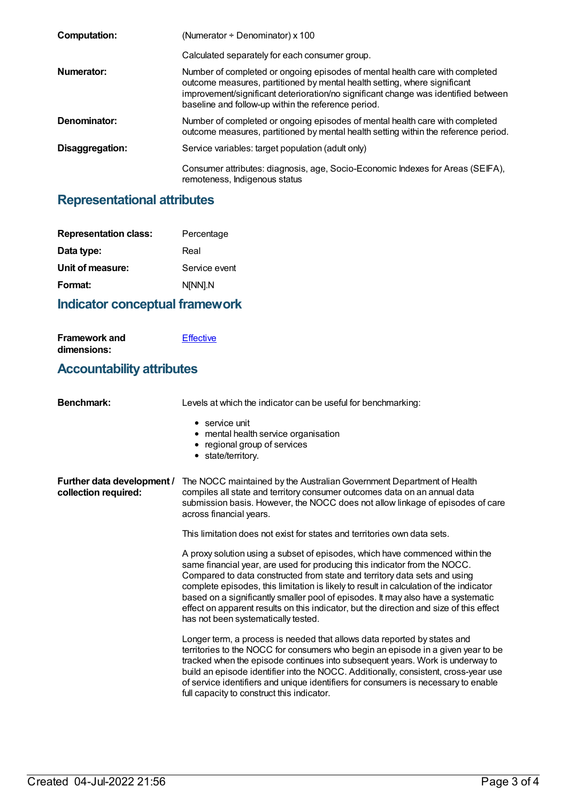| <b>Computation:</b> | (Numerator $\div$ Denominator) x 100                                                                                                                                                                                                                                                                   |
|---------------------|--------------------------------------------------------------------------------------------------------------------------------------------------------------------------------------------------------------------------------------------------------------------------------------------------------|
|                     | Calculated separately for each consumer group.                                                                                                                                                                                                                                                         |
| Numerator:          | Number of completed or ongoing episodes of mental health care with completed<br>outcome measures, partitioned by mental health setting, where significant<br>improvement/significant deterioration/no significant change was identified between<br>baseline and follow-up within the reference period. |
| Denominator:        | Number of completed or ongoing episodes of mental health care with completed<br>outcome measures, partitioned by mental health setting within the reference period.                                                                                                                                    |
| Disaggregation:     | Service variables: target population (adult only)                                                                                                                                                                                                                                                      |
|                     | Consumer attributes: diagnosis, age, Socio-Economic Indexes for Areas (SEIFA),<br>remoteness, Indigenous status                                                                                                                                                                                        |

## **Representational attributes**

| <b>Representation class:</b> | Percentage    |
|------------------------------|---------------|
| Data type:                   | Real          |
| Unit of measure:             | Service event |
| Format:                      | N[NN].N       |
|                              |               |

## **Indicator conceptual framework**

| <b>Framework and</b>             | Effective |
|----------------------------------|-----------|
| dimensions:                      |           |
| <b>Accountability attributes</b> |           |

| <b>Benchmark:</b>                                  | Levels at which the indicator can be useful for benchmarking:                                                                                                                                                                                                                                                                                                                                                                                                                                                                                          |
|----------------------------------------------------|--------------------------------------------------------------------------------------------------------------------------------------------------------------------------------------------------------------------------------------------------------------------------------------------------------------------------------------------------------------------------------------------------------------------------------------------------------------------------------------------------------------------------------------------------------|
|                                                    | $\bullet$ service unit<br>• mental health service organisation<br>• regional group of services<br>• state/territory.                                                                                                                                                                                                                                                                                                                                                                                                                                   |
| Further data development /<br>collection required: | The NOCC maintained by the Australian Government Department of Health<br>compiles all state and territory consumer outcomes data on an annual data<br>submission basis. However, the NOCC does not allow linkage of episodes of care<br>across financial years.                                                                                                                                                                                                                                                                                        |
|                                                    | This limitation does not exist for states and territories own data sets.                                                                                                                                                                                                                                                                                                                                                                                                                                                                               |
|                                                    | A proxy solution using a subset of episodes, which have commenced within the<br>same financial year, are used for producing this indicator from the NOCC.<br>Compared to data constructed from state and territory data sets and using<br>complete episodes, this limitation is likely to result in calculation of the indicator<br>based on a significantly smaller pool of episodes. It may also have a systematic<br>effect on apparent results on this indicator, but the direction and size of this effect<br>has not been systematically tested. |
|                                                    | Longer term, a process is needed that allows data reported by states and<br>territories to the NOCC for consumers who begin an episode in a given year to be<br>tracked when the episode continues into subsequent years. Work is underway to<br>build an episode identifier into the NOCC. Additionally, consistent, cross-year use<br>of service identifiers and unique identifiers for consumers is necessary to enable<br>full capacity to construct this indicator.                                                                               |